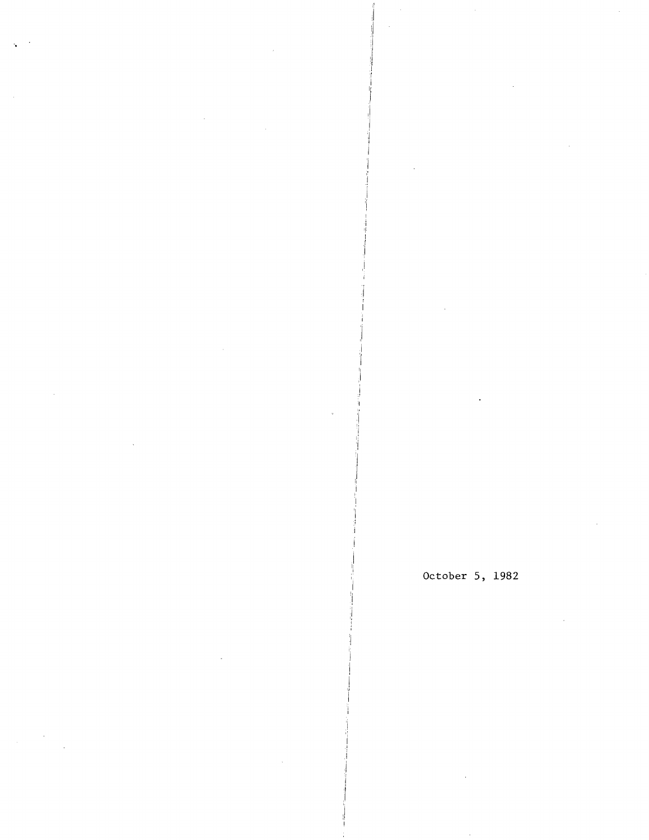## October 5, 1982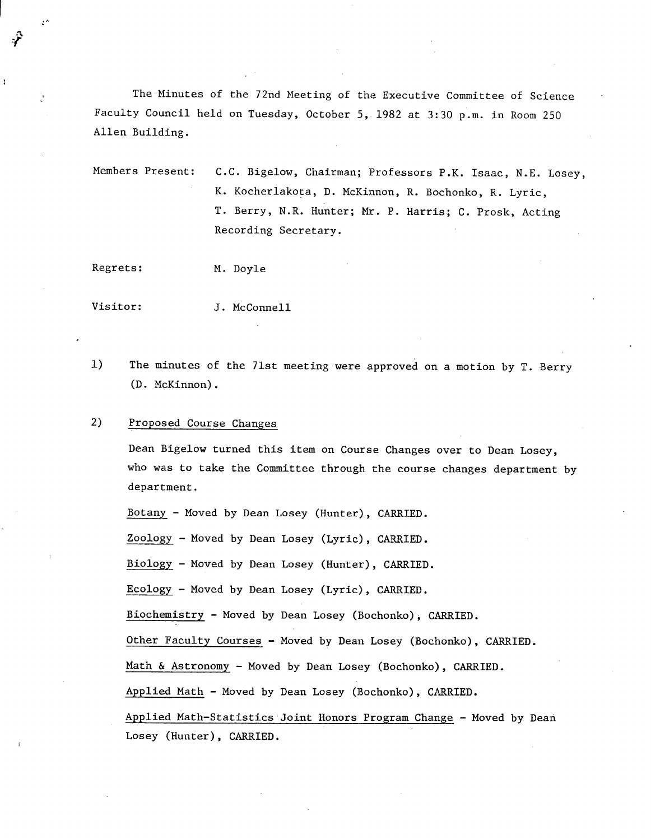The Minutes of the 72nd Meeting of the Executive Committee of Science Faculty Council held on Tuesday, October 5,. 1982 at 3:30 p.m. in Room 250 Allen Building.

 $\hat{\mathcal{E}}$ 

 $\mathbf{r}$ 

Members Present: C.C. Bigelow, Chairman; Professors P.K. Isaac, N.E. Losey, K. Kocherlakota, D. McKinnon, R. Bochonko, R. Lyric, T. Berry, N.R. Hunter; Mr. P. Harris; C. Prosk, Acting Recording Secretary.

Regrets: M. Doyle

Visitor: J. McConnell

 $1)$ The minutes of the 71st meeting were approved on a motion by T. Berry (D. McKinnon).

#### $2)$ Proposed Course Changes

Dean Bigelow turned this item on Course Changes over to Dean Losey, who was to take the Committee through the course changes department by department.

Botany - Moved by Dean Losey (Hunter), CARRIED.

Zoology - Moved by Dean Losey (Lyric), CARRIED.

Biology - Moved by Dean Losey (Hunter), CARRIED.

Ecology - Moved by Dean Losey (Lyric), CARRIED.

Biochemistry - Moved by Dean Losey (Bochonko), CARRIED.

Other Faculty Courses - Moved by Dean Losey (Bochonko), CARRIED.

Math & Astronomy - Moved by Dean Losey (Bochonko), CARRIED.

Applied Math - Moved by Dean Losey (Bochonko), CARRIED.

Applied Math-Statistics Joint Honors Program Change - Moved by Dean Losey (Hunter), CARRIED.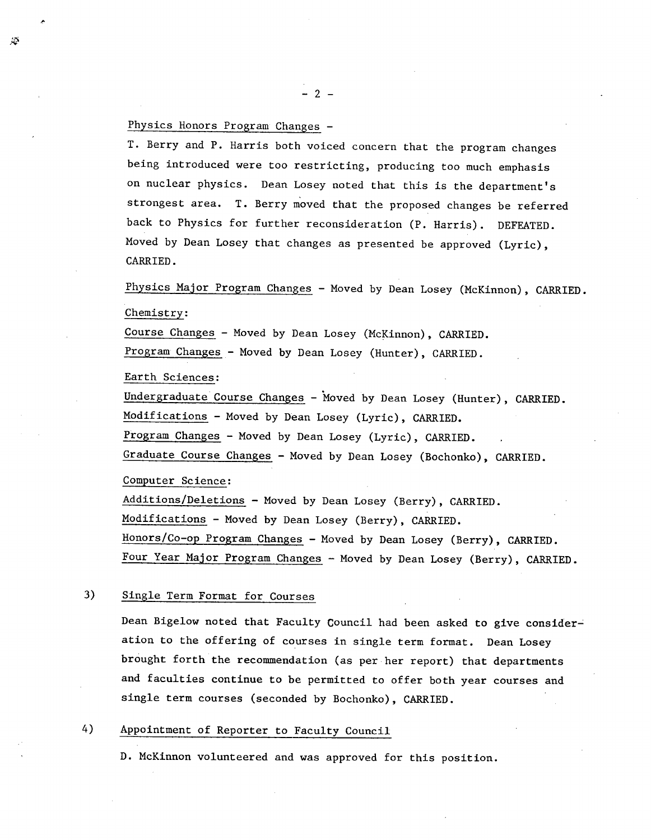## Physics Honors Program Changes -

T. Berry and P. Harris both voiced concern that the program changes being introduced were too restricting, producing too much emphasis on nuclear physics. Dean Losey noted that this is the department's strongest area. T. Berry moved that the proposed changes be referred back to Physics for further reconsideration (P. Harris). DEFEATED. Moved by Dean Losey that changes as presented be approved (Lyric), CARRIED.

Physics Major Program Changes - Moved by Dean Losey (McKinnon), CARRIED. Chemistry:

Course Changes - Moved by Dean Losey (McKinnon), CARRIED.

Program Changes - Moved by Dean Losey (Hunter), CARRIED.

Earth Sciences:

fr

濁

Undergraduate Course Changes - Moved by Dean Losey (Hunter), CARRIED. Modifications - Moved by Dean Losey (Lyric), CARRIED.

Program Changes - Moved by Dean Losey (Lyric), CARRIED.

Graduate Course Changes - Moved by Dean Losey (Bochonko), CARRIED.

Computer Science:

Additions/Deletions - Moved by Dean Losey (Berry), CARRIED. Modifications - Moved by Dean Losey (Berry), CARRIED. Honors/Co-op Program Changes - Moved by Dean Losey (Berry), CARRIED. Four Year Major Program Changes - Moved by Dean Losey (Berry), CARRIED.

#### $3)$ Single Term Format for Courses

Dean Bigelow noted that Faculty Council had been asked to give consideration to the offering of courses in single term format. Dean Losey brought forth the recommendation (as per her report) that departments and faculties continue to be permitted to offer both year courses and single term courses (seconded by Bochonko), CARRIED.

#### 4) Appointment of Reporter to Faculty Council

D. McKinnon volunteered and was approved for this position.

-2-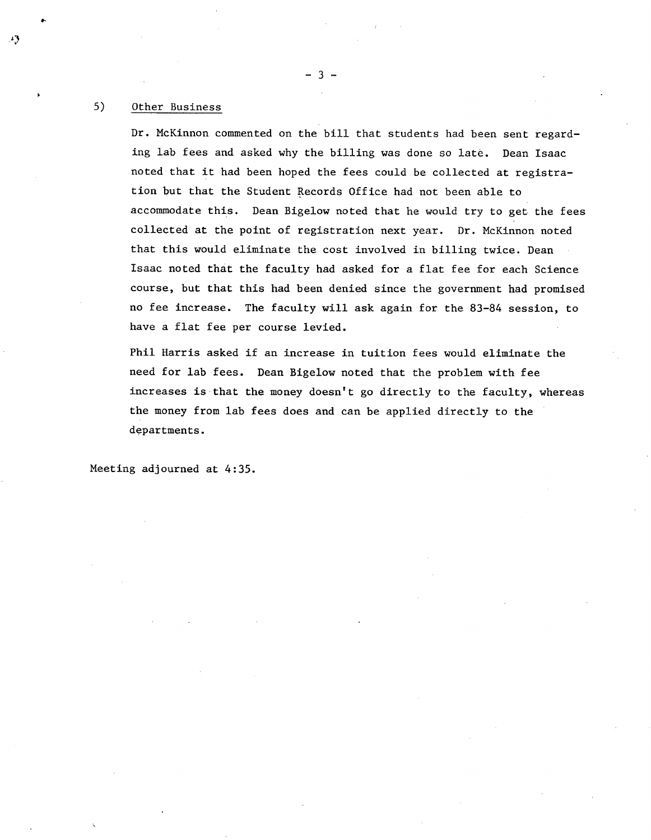## 5) Other Business

23

Dr. McKinnon commented on the bill that students had been sent regarding lab fees and asked why the billing was done so late. Dean Isaac noted that it had been hoped the fees could be collected at registration but that the Student Records Office had not been able to accommodate this. Dean Bigelow noted that he would try to get the fees collected at the point of registration next year. Dr. McKinnon noted that this would eliminate the cost involved in billing twice. Dean Isaac noted that the faculty had asked for a flat fee for each Science course, but that this had been denied since the government had promised no fee increase. The faculty will ask again for the 83-84 session, to have a flat fee per course levied.

Phil Harris asked if an increase in tuition fees would eliminate the need for lab fees. Dean Bigelow noted that the problem with fee increases isthat the money doesn't go directly to the faculty, whereas the money from lab fees does and can be applied directly to the departments.

Meeting adjourned at 4:35.

-3-